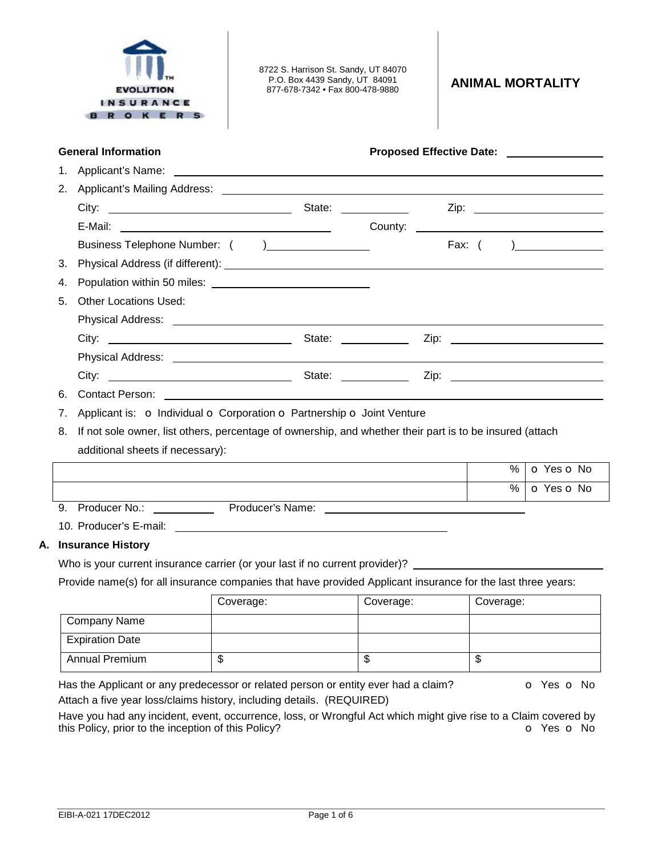

8722 S. Harrison St. Sandy, UT 84070 P.O. Box 4439 Sandy, UT 84091

877-678-7342 • Fax 800-478-9880 **ANIMAL MORTALITY** 

## **General Information Proposed Effective Date:**

| 2. |                              |                             |        |                                           |
|----|------------------------------|-----------------------------|--------|-------------------------------------------|
|    |                              | State: <u>_____________</u> |        |                                           |
|    |                              |                             |        |                                           |
|    |                              |                             | Fax: ( | ) and the set of $\overline{\phantom{a}}$ |
|    |                              |                             |        |                                           |
|    |                              |                             |        |                                           |
| 5. | <b>Other Locations Used:</b> |                             |        |                                           |
|    |                              |                             |        |                                           |
|    |                              |                             |        |                                           |
|    |                              |                             |        |                                           |
|    |                              | State: <u>_______</u>       |        |                                           |
| 6. | Contact Person:              |                             |        |                                           |

- 7. Applicant is: o Individual o Corporation o Partnership o Joint Venture
- 8. If not sole owner, list others, percentage of ownership, and whether their part is to be insured (attach additional sheets if necessary):

|               |                  | % | $\circ$ Yes $\circ$ No       |
|---------------|------------------|---|------------------------------|
|               |                  |   | $%$   $\circ$ Yes $\circ$ No |
| Producer No.: | Producer's Name: |   |                              |

10. Producer's E-mail:

# **A. Insurance History**

Who is your current insurance carrier (or your last if no current provider)?

Provide name(s) for all insurance companies that have provided Applicant insurance for the last three years:

|                        | Coverage: | Coverage: | Coverage: |
|------------------------|-----------|-----------|-----------|
| Company Name           |           |           |           |
| <b>Expiration Date</b> |           |           |           |
| Annual Premium         | D         | D         | Φ         |

Has the Applicant or any predecessor or related person or entity ever had a claim?  $\bullet$  Yes  $\bullet$  No Attach a five year loss/claims history, including details. (REQUIRED)

Have you had any incident, event, occurrence, loss, or Wrongful Act which might give rise to a Claim covered by

this Policy, prior to the inception of this Policy? **o Yes o No**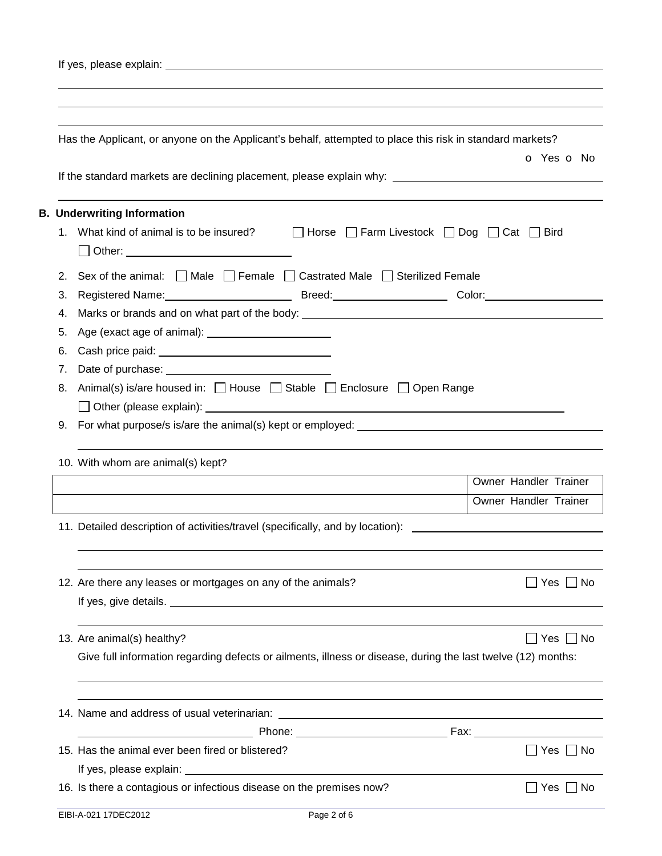| Has the Applicant, or anyone on the Applicant's behalf, attempted to place this risk in standard markets?                                                     | O Yes O No            |  |  |  |  |  |                                   |                       |  |  |  |  |  |  |
|---------------------------------------------------------------------------------------------------------------------------------------------------------------|-----------------------|--|--|--|--|--|-----------------------------------|-----------------------|--|--|--|--|--|--|
| If the standard markets are declining placement, please explain why: _______________________________                                                          |                       |  |  |  |  |  |                                   |                       |  |  |  |  |  |  |
| <b>B. Underwriting Information</b>                                                                                                                            |                       |  |  |  |  |  |                                   |                       |  |  |  |  |  |  |
| What kind of animal is to be insured? $\Box$ Horse $\Box$ Farm Livestock $\Box$ Dog $\Box$ Cat $\Box$ Bird<br>1.<br>□ Other: ________________________________ |                       |  |  |  |  |  |                                   |                       |  |  |  |  |  |  |
| Sex of the animal: $\Box$ Male $\Box$ Female $\Box$ Castrated Male $\Box$ Sterilized Female<br>2.                                                             |                       |  |  |  |  |  |                                   |                       |  |  |  |  |  |  |
| Registered Name: Mannell Allen Color: Mannell Allen Breed: Mannell Allen Color: Mannell Allen Color:<br>3.                                                    |                       |  |  |  |  |  |                                   |                       |  |  |  |  |  |  |
| Marks or brands and on what part of the body: ___________________________________<br>4.                                                                       |                       |  |  |  |  |  |                                   |                       |  |  |  |  |  |  |
| 5.                                                                                                                                                            |                       |  |  |  |  |  |                                   |                       |  |  |  |  |  |  |
| 6.                                                                                                                                                            |                       |  |  |  |  |  |                                   |                       |  |  |  |  |  |  |
| 7.                                                                                                                                                            |                       |  |  |  |  |  |                                   |                       |  |  |  |  |  |  |
| Animal(s) is/are housed in: □ House □ Stable □ Enclosure □ Open Range<br>For what purpose/s is/are the animal(s) kept or employed: ______________________     |                       |  |  |  |  |  |                                   |                       |  |  |  |  |  |  |
|                                                                                                                                                               |                       |  |  |  |  |  | 10. With whom are animal(s) kept? |                       |  |  |  |  |  |  |
|                                                                                                                                                               |                       |  |  |  |  |  |                                   | Owner Handler Trainer |  |  |  |  |  |  |
|                                                                                                                                                               | Owner Handler Trainer |  |  |  |  |  |                                   |                       |  |  |  |  |  |  |
| 11. Detailed description of activities/travel (specifically, and by location):                                                                                |                       |  |  |  |  |  |                                   |                       |  |  |  |  |  |  |
|                                                                                                                                                               |                       |  |  |  |  |  |                                   |                       |  |  |  |  |  |  |
| 12. Are there any leases or mortgages on any of the animals?                                                                                                  | Yes     No            |  |  |  |  |  |                                   |                       |  |  |  |  |  |  |
| 13. Are animal(s) healthy?                                                                                                                                    | Yes $\Box$ No         |  |  |  |  |  |                                   |                       |  |  |  |  |  |  |
| Give full information regarding defects or ailments, illness or disease, during the last twelve (12) months:                                                  |                       |  |  |  |  |  |                                   |                       |  |  |  |  |  |  |
|                                                                                                                                                               |                       |  |  |  |  |  |                                   |                       |  |  |  |  |  |  |
|                                                                                                                                                               |                       |  |  |  |  |  |                                   |                       |  |  |  |  |  |  |
| 15. Has the animal ever been fired or blistered?                                                                                                              | Yes $\Box$ No         |  |  |  |  |  |                                   |                       |  |  |  |  |  |  |
|                                                                                                                                                               |                       |  |  |  |  |  |                                   |                       |  |  |  |  |  |  |
| 16. Is there a contagious or infectious disease on the premises now?                                                                                          | ∐ Yes ∐<br>No.        |  |  |  |  |  |                                   |                       |  |  |  |  |  |  |
| Page 2 of 6<br>EIBI-A-021 17DEC2012                                                                                                                           |                       |  |  |  |  |  |                                   |                       |  |  |  |  |  |  |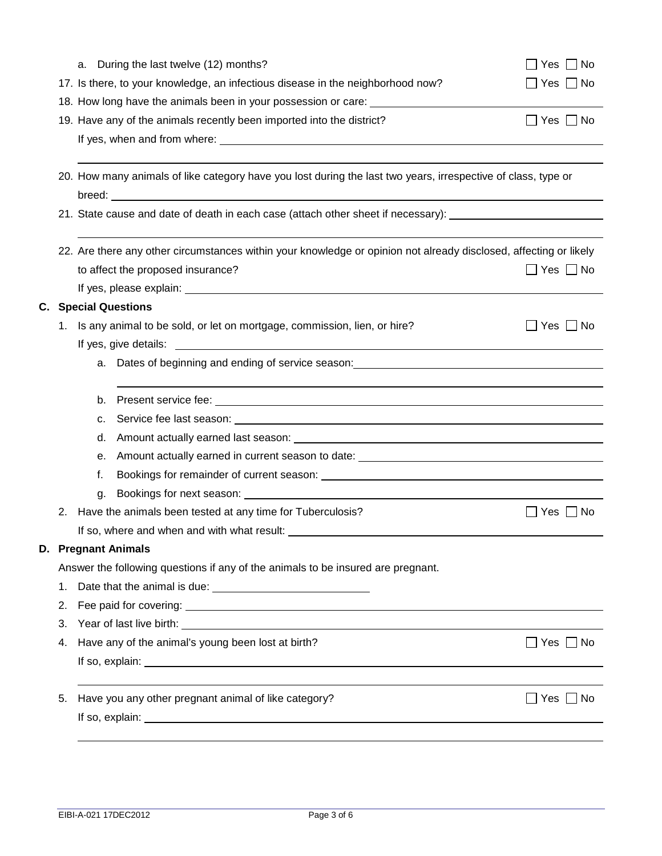|                                                                                                                         | During the last twelve (12) months?<br>a.                                                                                                                                                                                                                                   | Yes $\Box$ No        |  |  |  |  |  |
|-------------------------------------------------------------------------------------------------------------------------|-----------------------------------------------------------------------------------------------------------------------------------------------------------------------------------------------------------------------------------------------------------------------------|----------------------|--|--|--|--|--|
|                                                                                                                         | 17. Is there, to your knowledge, an infectious disease in the neighborhood now?                                                                                                                                                                                             | Yes     No           |  |  |  |  |  |
|                                                                                                                         | 18. How long have the animals been in your possession or care: _________________                                                                                                                                                                                            |                      |  |  |  |  |  |
|                                                                                                                         | 19. Have any of the animals recently been imported into the district?                                                                                                                                                                                                       | _  Yes _  No         |  |  |  |  |  |
|                                                                                                                         |                                                                                                                                                                                                                                                                             |                      |  |  |  |  |  |
| 20. How many animals of like category have you lost during the last two years, irrespective of class, type or           |                                                                                                                                                                                                                                                                             |                      |  |  |  |  |  |
|                                                                                                                         | 21. State cause and date of death in each case (attach other sheet if necessary): ________________________                                                                                                                                                                  |                      |  |  |  |  |  |
|                                                                                                                         |                                                                                                                                                                                                                                                                             |                      |  |  |  |  |  |
|                                                                                                                         | 22. Are there any other circumstances within your knowledge or opinion not already disclosed, affecting or likely                                                                                                                                                           |                      |  |  |  |  |  |
|                                                                                                                         | to affect the proposed insurance?                                                                                                                                                                                                                                           | _  Yes   _  No       |  |  |  |  |  |
|                                                                                                                         |                                                                                                                                                                                                                                                                             |                      |  |  |  |  |  |
|                                                                                                                         | <b>C.</b> Special Questions                                                                                                                                                                                                                                                 |                      |  |  |  |  |  |
|                                                                                                                         | 1. Is any animal to be sold, or let on mortgage, commission, lien, or hire?                                                                                                                                                                                                 | Yes $\Box$ No        |  |  |  |  |  |
|                                                                                                                         | <u> 1989 - Johann Barbara, martin amerikan basal dan berasal dan berasal dalam basal dan berasal dan berasal dan</u><br>If yes, give details:                                                                                                                               |                      |  |  |  |  |  |
|                                                                                                                         | Dates of beginning and ending of service season: <b>Container and Service Season</b> : <b>Container and Service Season: Container and Service Season: Container and Service Season: Container and Service Season: Container an</b><br>a.                                    |                      |  |  |  |  |  |
|                                                                                                                         | ,我们也不会有一个人的人,我们也不会有一个人的人,我们也不会有一个人的人。""我们,我们也不会有一个人的人,我们也不会有一个人的人。""我们,我们也不会有一个人                                                                                                                                                                                            |                      |  |  |  |  |  |
|                                                                                                                         | b.                                                                                                                                                                                                                                                                          |                      |  |  |  |  |  |
|                                                                                                                         | c.                                                                                                                                                                                                                                                                          |                      |  |  |  |  |  |
| Amount actually earned last season: example and a season of the season of the season of the season of the season:<br>d. |                                                                                                                                                                                                                                                                             |                      |  |  |  |  |  |
| Amount actually earned in current season to date: ______________________________<br>е.                                  |                                                                                                                                                                                                                                                                             |                      |  |  |  |  |  |
|                                                                                                                         | f.                                                                                                                                                                                                                                                                          |                      |  |  |  |  |  |
|                                                                                                                         | g.                                                                                                                                                                                                                                                                          |                      |  |  |  |  |  |
| 2.                                                                                                                      | Have the animals been tested at any time for Tuberculosis?                                                                                                                                                                                                                  | __  No<br>Yes        |  |  |  |  |  |
|                                                                                                                         | If so, where and when and with what result:                                                                                                                                                                                                                                 |                      |  |  |  |  |  |
|                                                                                                                         | D. Pregnant Animals                                                                                                                                                                                                                                                         |                      |  |  |  |  |  |
|                                                                                                                         | Answer the following questions if any of the animals to be insured are pregnant.                                                                                                                                                                                            |                      |  |  |  |  |  |
| 1.                                                                                                                      |                                                                                                                                                                                                                                                                             |                      |  |  |  |  |  |
| 2.                                                                                                                      |                                                                                                                                                                                                                                                                             |                      |  |  |  |  |  |
| 3.                                                                                                                      |                                                                                                                                                                                                                                                                             |                      |  |  |  |  |  |
| 4.                                                                                                                      | Have any of the animal's young been lost at birth?                                                                                                                                                                                                                          | $\Box$ Yes $\Box$ No |  |  |  |  |  |
|                                                                                                                         |                                                                                                                                                                                                                                                                             |                      |  |  |  |  |  |
| 5.                                                                                                                      | Have you any other pregnant animal of like category?                                                                                                                                                                                                                        | Yes     No           |  |  |  |  |  |
|                                                                                                                         | If so, explain: $\sqrt{a}$ is a set of $\frac{1}{2}$ if $\frac{1}{2}$ is a set of $\frac{1}{2}$ if $\frac{1}{2}$ is a set of $\frac{1}{2}$ if $\frac{1}{2}$ is a set of $\frac{1}{2}$ if $\frac{1}{2}$ is a set of $\frac{1}{2}$ if $\frac{1}{2}$ is a set of $\frac{1}{2}$ |                      |  |  |  |  |  |
|                                                                                                                         |                                                                                                                                                                                                                                                                             |                      |  |  |  |  |  |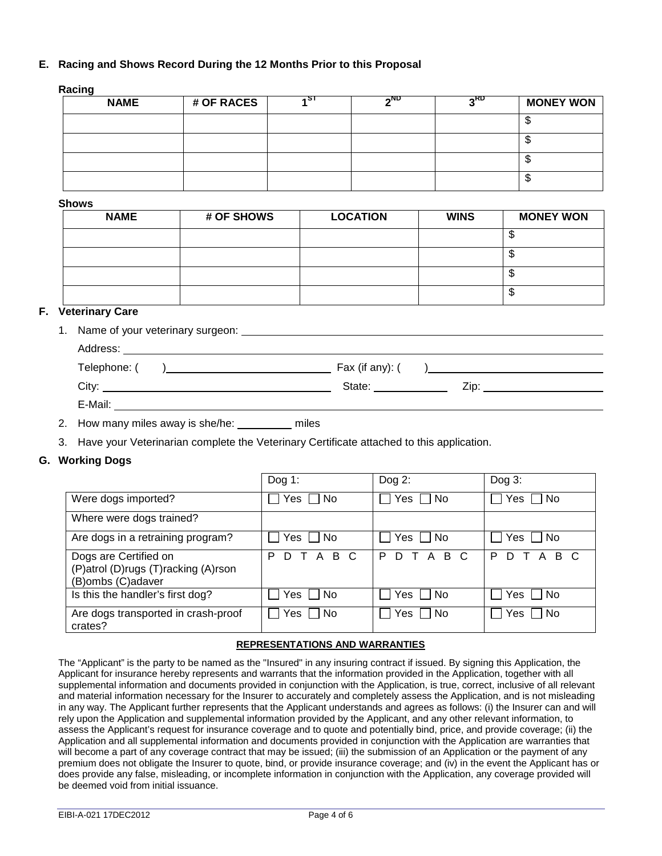## **E. Racing and Shows Record During the 12 Months Prior to this Proposal**

#### **Racing**

| <b>NAME</b> | # OF RACES | ιSΤ | <b>AND</b> | <b>RD</b> | <b>MONEY WON</b> |
|-------------|------------|-----|------------|-----------|------------------|
|             |            |     |            |           |                  |
|             |            |     |            |           |                  |
|             |            |     |            |           |                  |
|             |            |     |            |           | ۰D               |

#### **Shows**

| <b>NAME</b> | # OF SHOWS | <b>LOCATION</b> | <b>WINS</b> | <b>MONEY WON</b> |
|-------------|------------|-----------------|-------------|------------------|
|             |            |                 |             | Ψ                |
|             |            |                 |             | w                |
|             |            |                 |             | w                |
|             |            |                 |             | Φ                |

## **F. Veterinary Care**

1. Name of your veterinary surgeon:

| Address:     |                 |
|--------------|-----------------|
| Telephone: ( | Fax (if any): ( |
| City:        | State:<br>Zip:  |
| E-Mail:      |                 |
|              |                 |

- 2. How many miles away is she/he: \_\_\_\_\_ miles
- 3. Have your Veterinarian complete the Veterinary Certificate attached to this application.

#### **G. Working Dogs**

|                                                                                   | Dog 1:                  | Dog $2$ :         | Dog $3$ :          |
|-----------------------------------------------------------------------------------|-------------------------|-------------------|--------------------|
| Were dogs imported?                                                               | <b>No</b><br>Yes.       | Yes $\Box$ No     | No.<br>Yes         |
| Where were dogs trained?                                                          |                         |                   |                    |
| Are dogs in a retraining program?                                                 | <b>No</b><br>Yes.       | Yes I I No        | No.<br>Yes:        |
| Dogs are Certified on<br>(P)atrol (D)rugs (T)racking (A)rson<br>(B)ombs (C)adaver | A B C<br>P<br>D         | T A B C<br>P<br>D | T A B C<br>P<br>D. |
| Is this the handler's first dog?                                                  | <b>No</b><br><b>Yes</b> | Yes I I No        | - No<br>Yes        |
| Are dogs transported in crash-proof<br>crates?                                    | No<br>Yes               | l No<br>Yes       | No<br>Yes          |

## **REPRESENTATIONS AND WARRANTIES**

The "Applicant" is the party to be named as the "Insured" in any insuring contract if issued. By signing this Application, the Applicant for insurance hereby represents and warrants that the information provided in the Application, together with all supplemental information and documents provided in conjunction with the Application, is true, correct, inclusive of all relevant and material information necessary for the Insurer to accurately and completely assess the Application, and is not misleading in any way. The Applicant further represents that the Applicant understands and agrees as follows: (i) the Insurer can and will rely upon the Application and supplemental information provided by the Applicant, and any other relevant information, to assess the Applicant's request for insurance coverage and to quote and potentially bind, price, and provide coverage; (ii) the Application and all supplemental information and documents provided in conjunction with the Application are warranties that will become a part of any coverage contract that may be issued; (iii) the submission of an Application or the payment of any premium does not obligate the Insurer to quote, bind, or provide insurance coverage; and (iv) in the event the Applicant has or does provide any false, misleading, or incomplete information in conjunction with the Application, any coverage provided will be deemed void from initial issuance.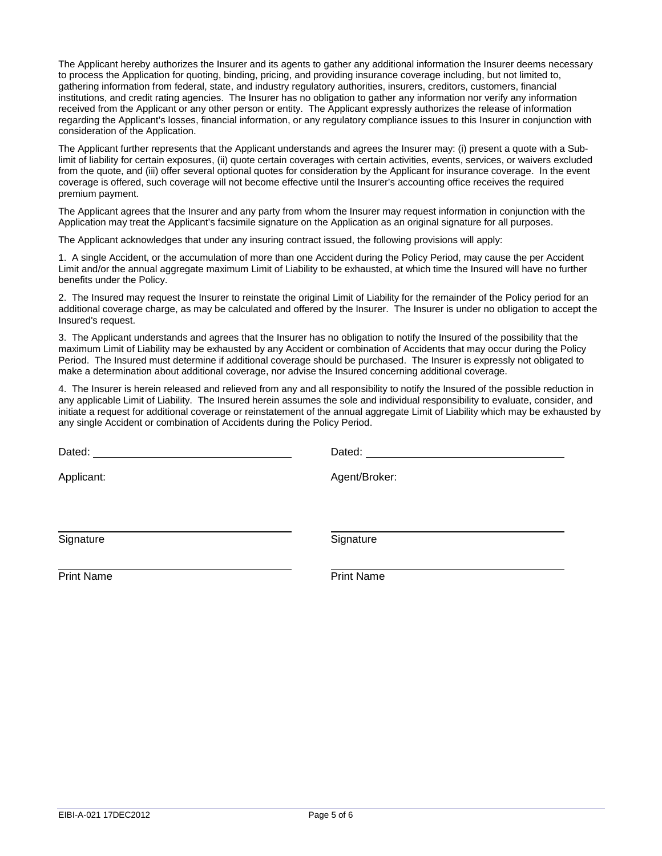The Applicant hereby authorizes the Insurer and its agents to gather any additional information the Insurer deems necessary to process the Application for quoting, binding, pricing, and providing insurance coverage including, but not limited to, gathering information from federal, state, and industry regulatory authorities, insurers, creditors, customers, financial institutions, and credit rating agencies. The Insurer has no obligation to gather any information nor verify any information received from the Applicant or any other person or entity. The Applicant expressly authorizes the release of information regarding the Applicant's losses, financial information, or any regulatory compliance issues to this Insurer in conjunction with consideration of the Application.

The Applicant further represents that the Applicant understands and agrees the Insurer may: (i) present a quote with a Sublimit of liability for certain exposures, (ii) quote certain coverages with certain activities, events, services, or waivers excluded from the quote, and (iii) offer several optional quotes for consideration by the Applicant for insurance coverage. In the event coverage is offered, such coverage will not become effective until the Insurer's accounting office receives the required premium payment.

The Applicant agrees that the Insurer and any party from whom the Insurer may request information in conjunction with the Application may treat the Applicant's facsimile signature on the Application as an original signature for all purposes.

The Applicant acknowledges that under any insuring contract issued, the following provisions will apply:

1. A single Accident, or the accumulation of more than one Accident during the Policy Period, may cause the per Accident Limit and/or the annual aggregate maximum Limit of Liability to be exhausted, at which time the Insured will have no further benefits under the Policy.

2. The Insured may request the Insurer to reinstate the original Limit of Liability for the remainder of the Policy period for an additional coverage charge, as may be calculated and offered by the Insurer. The Insurer is under no obligation to accept the Insured's request.

3. The Applicant understands and agrees that the Insurer has no obligation to notify the Insured of the possibility that the maximum Limit of Liability may be exhausted by any Accident or combination of Accidents that may occur during the Policy Period. The Insured must determine if additional coverage should be purchased. The Insurer is expressly not obligated to make a determination about additional coverage, nor advise the Insured concerning additional coverage.

4. The Insurer is herein released and relieved from any and all responsibility to notify the Insured of the possible reduction in any applicable Limit of Liability. The Insured herein assumes the sole and individual responsibility to evaluate, consider, and initiate a request for additional coverage or reinstatement of the annual aggregate Limit of Liability which may be exhausted by any single Accident or combination of Accidents during the Policy Period.

Dated: **Dated: Dated: Dated: Dated: Dated: Dated: Dated: Dated: Dated: Dated: Dated:**  $\frac{1}{2}$ Applicant: Agent/Broker: Signature Signature Signature Signature Signature Print Name **Print Name**